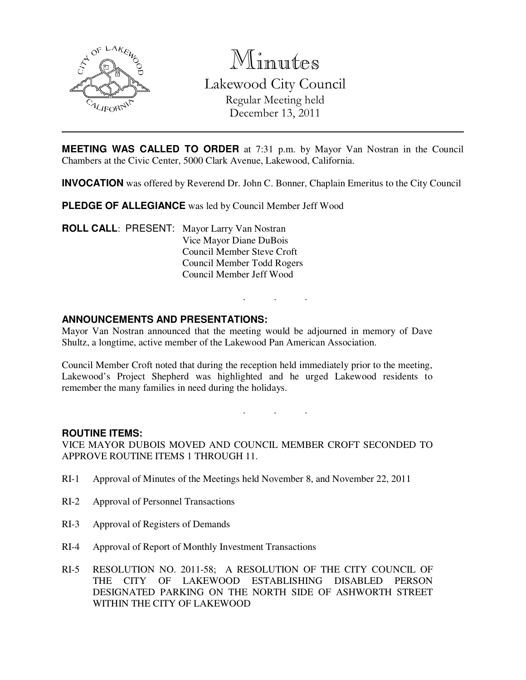

Minutes Lakewood City Council Regular Meeting held December 13, 2011

**MEETING WAS CALLED TO ORDER** at 7:31 p.m. by Mayor Van Nostran in the Council Chambers at the Civic Center, 5000 Clark Avenue, Lakewood, California.

**INVOCATION** was offered by Reverend Dr. John C. Bonner, Chaplain Emeritus to the City Council

**PLEDGE OF ALLEGIANCE** was led by Council Member Jeff Wood

**ROLL CALL**: PRESENT: Mayor Larry Van Nostran Vice Mayor Diane DuBois Council Member Steve Croft Council Member Todd Rogers Council Member Jeff Wood

### **ANNOUNCEMENTS AND PRESENTATIONS:**

Mayor Van Nostran announced that the meeting would be adjourned in memory of Dave Shultz, a longtime, active member of the Lakewood Pan American Association.

Council Member Croft noted that during the reception held immediately prior to the meeting, Lakewood's Project Shepherd was highlighted and he urged Lakewood residents to remember the many families in need during the holidays.

. . .

. . .

#### **ROUTINE ITEMS:**

VICE MAYOR DUBOIS MOVED AND COUNCIL MEMBER CROFT SECONDED TO APPROVE ROUTINE ITEMS 1 THROUGH 11.

- RI-1 Approval of Minutes of the Meetings held November 8, and November 22, 2011
- RI-2 Approval of Personnel Transactions
- RI-3 Approval of Registers of Demands
- RI-4 Approval of Report of Monthly Investment Transactions
- RI-5 RESOLUTION NO. 2011-58; A RESOLUTION OF THE CITY COUNCIL OF THE CITY OF LAKEWOOD ESTABLISHING DISABLED PERSON DESIGNATED PARKING ON THE NORTH SIDE OF ASHWORTH STREET WITHIN THE CITY OF LAKEWOOD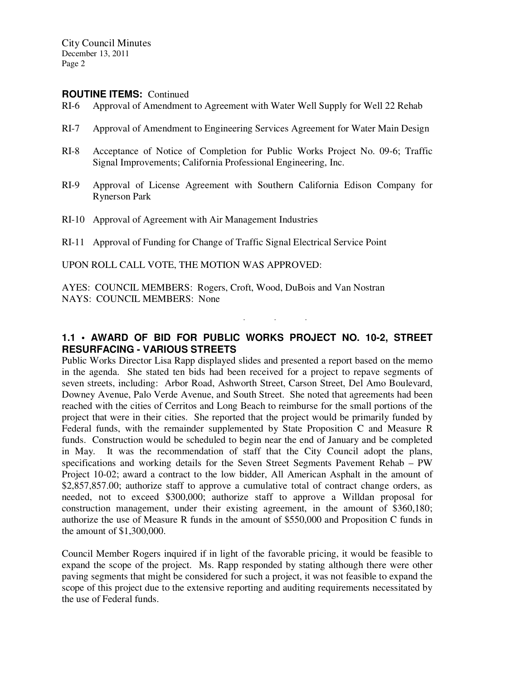#### **ROUTINE ITEMS:** Continued

- RI-6 Approval of Amendment to Agreement with Water Well Supply for Well 22 Rehab
- RI-7 Approval of Amendment to Engineering Services Agreement for Water Main Design
- RI-8 Acceptance of Notice of Completion for Public Works Project No. 09-6; Traffic Signal Improvements; California Professional Engineering, Inc.
- RI-9 Approval of License Agreement with Southern California Edison Company for Rynerson Park
- RI-10 Approval of Agreement with Air Management Industries
- RI-11 Approval of Funding for Change of Traffic Signal Electrical Service Point

UPON ROLL CALL VOTE, THE MOTION WAS APPROVED:

AYES: COUNCIL MEMBERS: Rogers, Croft, Wood, DuBois and Van Nostran NAYS: COUNCIL MEMBERS: None

# **1.1 • AWARD OF BID FOR PUBLIC WORKS PROJECT NO. 10-2, STREET RESURFACING - VARIOUS STREETS**

. . .

Public Works Director Lisa Rapp displayed slides and presented a report based on the memo in the agenda. She stated ten bids had been received for a project to repave segments of seven streets, including: Arbor Road, Ashworth Street, Carson Street, Del Amo Boulevard, Downey Avenue, Palo Verde Avenue, and South Street. She noted that agreements had been reached with the cities of Cerritos and Long Beach to reimburse for the small portions of the project that were in their cities. She reported that the project would be primarily funded by Federal funds, with the remainder supplemented by State Proposition C and Measure R funds. Construction would be scheduled to begin near the end of January and be completed in May. It was the recommendation of staff that the City Council adopt the plans, specifications and working details for the Seven Street Segments Pavement Rehab – PW Project 10-02; award a contract to the low bidder, All American Asphalt in the amount of \$2,857,857.00; authorize staff to approve a cumulative total of contract change orders, as needed, not to exceed \$300,000; authorize staff to approve a Willdan proposal for construction management, under their existing agreement, in the amount of \$360,180; authorize the use of Measure R funds in the amount of \$550,000 and Proposition C funds in the amount of \$1,300,000.

Council Member Rogers inquired if in light of the favorable pricing, it would be feasible to expand the scope of the project. Ms. Rapp responded by stating although there were other paving segments that might be considered for such a project, it was not feasible to expand the scope of this project due to the extensive reporting and auditing requirements necessitated by the use of Federal funds.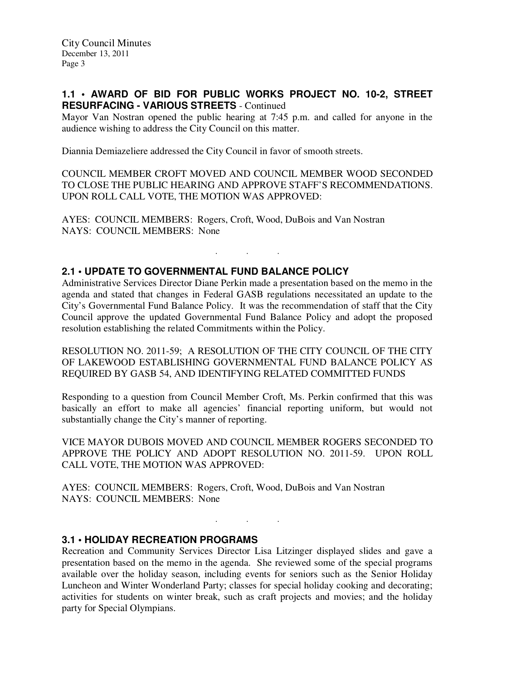### **1.1 • AWARD OF BID FOR PUBLIC WORKS PROJECT NO. 10-2, STREET RESURFACING - VARIOUS STREETS** - Continued

Mayor Van Nostran opened the public hearing at 7:45 p.m. and called for anyone in the audience wishing to address the City Council on this matter.

Diannia Demiazeliere addressed the City Council in favor of smooth streets.

COUNCIL MEMBER CROFT MOVED AND COUNCIL MEMBER WOOD SECONDED TO CLOSE THE PUBLIC HEARING AND APPROVE STAFF'S RECOMMENDATIONS. UPON ROLL CALL VOTE, THE MOTION WAS APPROVED:

AYES: COUNCIL MEMBERS: Rogers, Croft, Wood, DuBois and Van Nostran NAYS: COUNCIL MEMBERS: None

### **2.1 • UPDATE TO GOVERNMENTAL FUND BALANCE POLICY**

Administrative Services Director Diane Perkin made a presentation based on the memo in the agenda and stated that changes in Federal GASB regulations necessitated an update to the City's Governmental Fund Balance Policy. It was the recommendation of staff that the City Council approve the updated Governmental Fund Balance Policy and adopt the proposed resolution establishing the related Commitments within the Policy.

. . .

RESOLUTION NO. 2011-59; A RESOLUTION OF THE CITY COUNCIL OF THE CITY OF LAKEWOOD ESTABLISHING GOVERNMENTAL FUND BALANCE POLICY AS REQUIRED BY GASB 54, AND IDENTIFYING RELATED COMMITTED FUNDS

Responding to a question from Council Member Croft, Ms. Perkin confirmed that this was basically an effort to make all agencies' financial reporting uniform, but would not substantially change the City's manner of reporting.

VICE MAYOR DUBOIS MOVED AND COUNCIL MEMBER ROGERS SECONDED TO APPROVE THE POLICY AND ADOPT RESOLUTION NO. 2011-59. UPON ROLL CALL VOTE, THE MOTION WAS APPROVED:

AYES: COUNCIL MEMBERS: Rogers, Croft, Wood, DuBois and Van Nostran NAYS: COUNCIL MEMBERS: None

### **3.1 • HOLIDAY RECREATION PROGRAMS**

Recreation and Community Services Director Lisa Litzinger displayed slides and gave a presentation based on the memo in the agenda. She reviewed some of the special programs available over the holiday season, including events for seniors such as the Senior Holiday Luncheon and Winter Wonderland Party; classes for special holiday cooking and decorating; activities for students on winter break, such as craft projects and movies; and the holiday party for Special Olympians.

. . .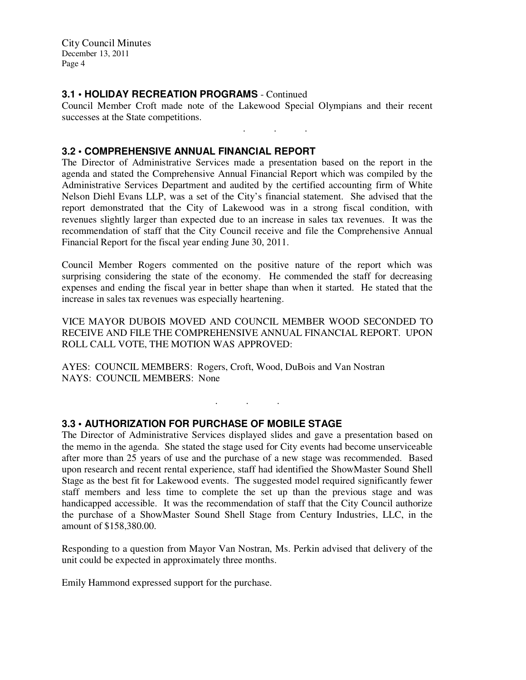### **3.1 • HOLIDAY RECREATION PROGRAMS** - Continued

Council Member Croft made note of the Lakewood Special Olympians and their recent successes at the State competitions.

. . .

#### **3.2 • COMPREHENSIVE ANNUAL FINANCIAL REPORT**

The Director of Administrative Services made a presentation based on the report in the agenda and stated the Comprehensive Annual Financial Report which was compiled by the Administrative Services Department and audited by the certified accounting firm of White Nelson Diehl Evans LLP, was a set of the City's financial statement. She advised that the report demonstrated that the City of Lakewood was in a strong fiscal condition, with revenues slightly larger than expected due to an increase in sales tax revenues. It was the recommendation of staff that the City Council receive and file the Comprehensive Annual Financial Report for the fiscal year ending June 30, 2011.

Council Member Rogers commented on the positive nature of the report which was surprising considering the state of the economy. He commended the staff for decreasing expenses and ending the fiscal year in better shape than when it started. He stated that the increase in sales tax revenues was especially heartening.

VICE MAYOR DUBOIS MOVED AND COUNCIL MEMBER WOOD SECONDED TO RECEIVE AND FILE THE COMPREHENSIVE ANNUAL FINANCIAL REPORT. UPON ROLL CALL VOTE, THE MOTION WAS APPROVED:

AYES: COUNCIL MEMBERS: Rogers, Croft, Wood, DuBois and Van Nostran NAYS: COUNCIL MEMBERS: None

. . .

### **3.3 • AUTHORIZATION FOR PURCHASE OF MOBILE STAGE**

The Director of Administrative Services displayed slides and gave a presentation based on the memo in the agenda. She stated the stage used for City events had become unserviceable after more than 25 years of use and the purchase of a new stage was recommended. Based upon research and recent rental experience, staff had identified the ShowMaster Sound Shell Stage as the best fit for Lakewood events. The suggested model required significantly fewer staff members and less time to complete the set up than the previous stage and was handicapped accessible. It was the recommendation of staff that the City Council authorize the purchase of a ShowMaster Sound Shell Stage from Century Industries, LLC, in the amount of \$158,380.00.

Responding to a question from Mayor Van Nostran, Ms. Perkin advised that delivery of the unit could be expected in approximately three months.

Emily Hammond expressed support for the purchase.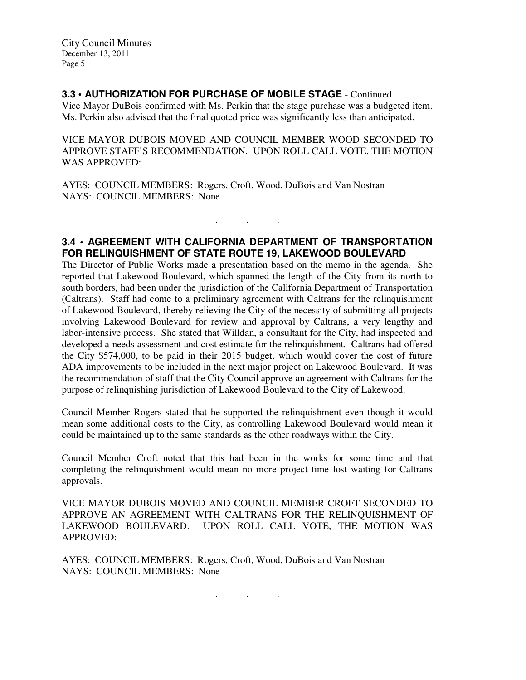# **3.3 • AUTHORIZATION FOR PURCHASE OF MOBILE STAGE** - Continued

Vice Mayor DuBois confirmed with Ms. Perkin that the stage purchase was a budgeted item. Ms. Perkin also advised that the final quoted price was significantly less than anticipated.

VICE MAYOR DUBOIS MOVED AND COUNCIL MEMBER WOOD SECONDED TO APPROVE STAFF'S RECOMMENDATION. UPON ROLL CALL VOTE, THE MOTION WAS APPROVED:

AYES: COUNCIL MEMBERS: Rogers, Croft, Wood, DuBois and Van Nostran NAYS: COUNCIL MEMBERS: None

### **3.4 • AGREEMENT WITH CALIFORNIA DEPARTMENT OF TRANSPORTATION FOR RELINQUISHMENT OF STATE ROUTE 19, LAKEWOOD BOULEVARD**

 $\mathbf{r}$  .  $\mathbf{r}$  ,  $\mathbf{r}$  ,  $\mathbf{r}$  ,  $\mathbf{r}$  ,  $\mathbf{r}$  ,  $\mathbf{r}$ 

The Director of Public Works made a presentation based on the memo in the agenda. She reported that Lakewood Boulevard, which spanned the length of the City from its north to south borders, had been under the jurisdiction of the California Department of Transportation (Caltrans). Staff had come to a preliminary agreement with Caltrans for the relinquishment of Lakewood Boulevard, thereby relieving the City of the necessity of submitting all projects involving Lakewood Boulevard for review and approval by Caltrans, a very lengthy and labor-intensive process. She stated that Willdan, a consultant for the City, had inspected and developed a needs assessment and cost estimate for the relinquishment. Caltrans had offered the City \$574,000, to be paid in their 2015 budget, which would cover the cost of future ADA improvements to be included in the next major project on Lakewood Boulevard. It was the recommendation of staff that the City Council approve an agreement with Caltrans for the purpose of relinquishing jurisdiction of Lakewood Boulevard to the City of Lakewood.

Council Member Rogers stated that he supported the relinquishment even though it would mean some additional costs to the City, as controlling Lakewood Boulevard would mean it could be maintained up to the same standards as the other roadways within the City.

Council Member Croft noted that this had been in the works for some time and that completing the relinquishment would mean no more project time lost waiting for Caltrans approvals.

VICE MAYOR DUBOIS MOVED AND COUNCIL MEMBER CROFT SECONDED TO APPROVE AN AGREEMENT WITH CALTRANS FOR THE RELINQUISHMENT OF LAKEWOOD BOULEVARD. UPON ROLL CALL VOTE, THE MOTION WAS APPROVED:

. . .

AYES: COUNCIL MEMBERS: Rogers, Croft, Wood, DuBois and Van Nostran NAYS: COUNCIL MEMBERS: None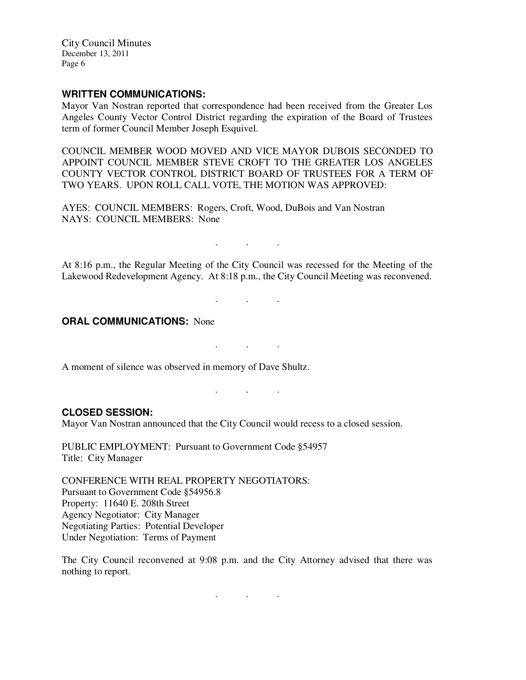#### **WRITTEN COMMUNICATIONS:**

Mayor Van Nostran reported that correspondence had been received from the Greater Los Angeles County Vector Control District regarding the expiration of the Board of Trustees term of former Council Member Joseph Esquivel.

COUNCIL MEMBER WOOD MOVED AND VICE MAYOR DUBOIS SECONDED TO APPOINT COUNCIL MEMBER STEVE CROFT TO THE GREATER LOS ANGELES COUNTY VECTOR CONTROL DISTRICT BOARD OF TRUSTEES FOR A TERM OF TWO YEARS. UPON ROLL CALL VOTE, THE MOTION WAS APPROVED:

AYES: COUNCIL MEMBERS: Rogers, Croft, Wood, DuBois and Van Nostran NAYS: COUNCIL MEMBERS: None

At 8:16 p.m., the Regular Meeting of the City Council was recessed for the Meeting of the Lakewood Redevelopment Agency. At 8:18 p.m., the City Council Meeting was reconvened.

. . .

. . .

. . .

. . .

**ORAL COMMUNICATIONS: None** 

A moment of silence was observed in memory of Dave Shultz.

**CLOSED SESSION:** 

Mayor Van Nostran announced that the City Council would recess to a closed session.

PUBLIC EMPLOYMENT: Pursuant to Government Code §54957 Title: City Manager

CONFERENCE WITH REAL PROPERTY NEGOTIATORS: Pursuant to Government Code §54956.8 Property: 11640 E. 208th Street Agency Negotiator: City Manager Negotiating Parties: Potential Developer Under Negotiation: Terms of Payment

The City Council reconvened at 9:08 p.m. and the City Attorney advised that there was nothing to report.

. . .